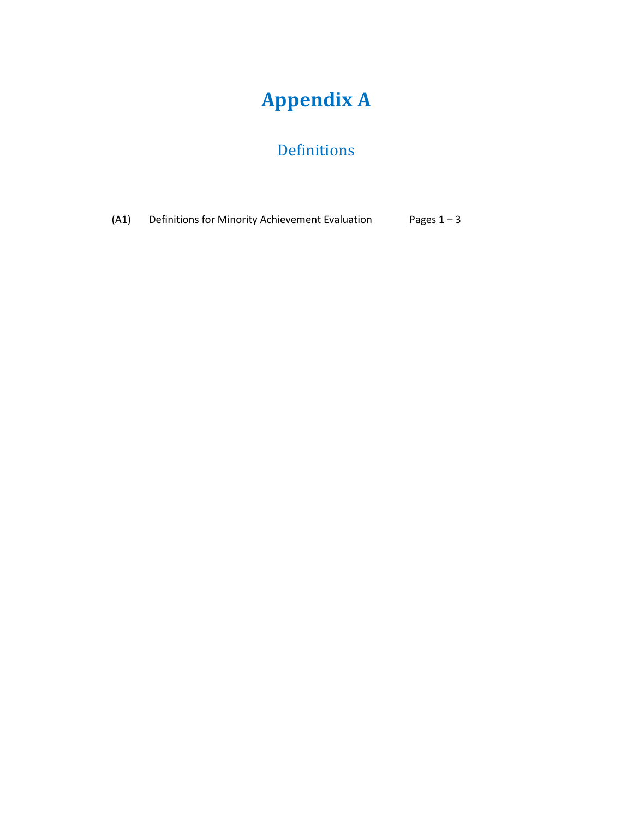## **Appendix A**

## Definitions

(A1) [Definitions for Minority Achievement](#page-1-0) Evaluation Pages  $1 - 3$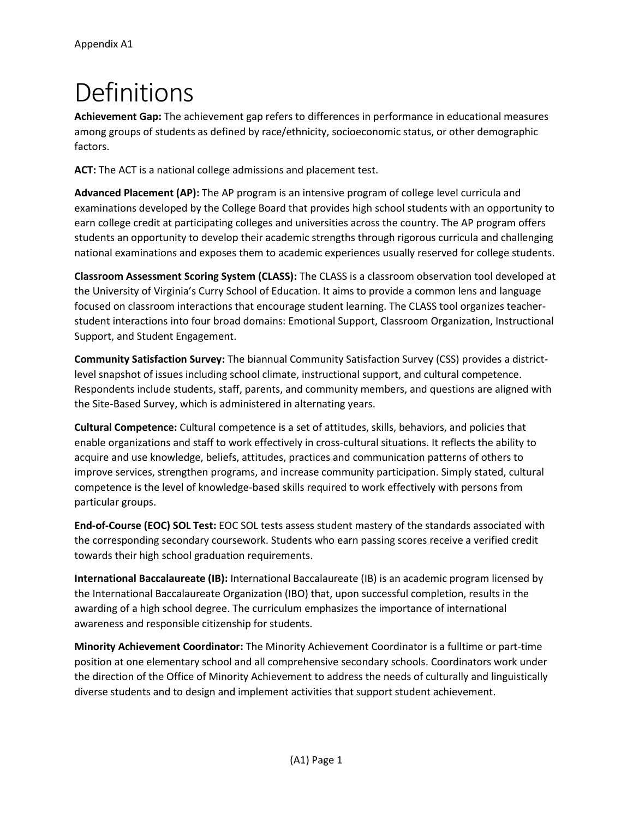## <span id="page-1-0"></span>Definitions

**Achievement Gap:** The achievement gap refers to differences in performance in educational measures among groups of students as defined by race/ethnicity, socioeconomic status, or other demographic factors.

**ACT:** The ACT is a national college admissions and placement test.

**Advanced Placement (AP):** The AP program is an intensive program of college level curricula and examinations developed by the College Board that provides high school students with an opportunity to earn college credit at participating colleges and universities across the country. The AP program offers students an opportunity to develop their academic strengths through rigorous curricula and challenging national examinations and exposes them to academic experiences usually reserved for college students.

**Classroom Assessment Scoring System (CLASS):** The CLASS is a classroom observation tool developed at the University of Virginia's Curry School of Education. It aims to provide a common lens and language focused on classroom interactions that encourage student learning. The CLASS tool organizes teacherstudent interactions into four broad domains: Emotional Support, Classroom Organization, Instructional Support, and Student Engagement.

**Community Satisfaction Survey:** The biannual Community Satisfaction Survey (CSS) provides a districtlevel snapshot of issues including school climate, instructional support, and cultural competence. Respondents include students, staff, parents, and community members, and questions are aligned with the Site-Based Survey, which is administered in alternating years.

**Cultural Competence:** Cultural competence is a set of attitudes, skills, behaviors, and policies that enable organizations and staff to work effectively in cross-cultural situations. It reflects the ability to acquire and use knowledge, beliefs, attitudes, practices and communication patterns of others to improve services, strengthen programs, and increase community participation. Simply stated, cultural competence is the level of knowledge-based skills required to work effectively with persons from particular groups.

**End-of-Course (EOC) SOL Test:** EOC SOL tests assess student mastery of the standards associated with the corresponding secondary coursework. Students who earn passing scores receive a verified credit towards their high school graduation requirements.

**International Baccalaureate (IB):** International Baccalaureate (IB) is an academic program licensed by the International Baccalaureate Organization (IBO) that, upon successful completion, results in the awarding of a high school degree. The curriculum emphasizes the importance of international awareness and responsible citizenship for students.

**Minority Achievement Coordinator:** The Minority Achievement Coordinator is a fulltime or part-time position at one elementary school and all comprehensive secondary schools. Coordinators work under the direction of the Office of Minority Achievement to address the needs of culturally and linguistically diverse students and to design and implement activities that support student achievement.